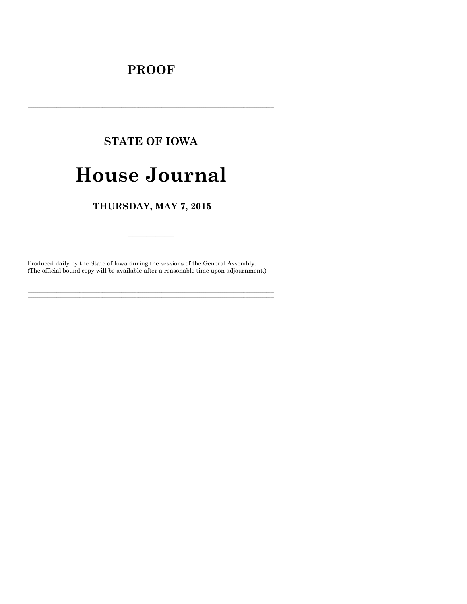## **PROOF**

# **STATE OF IOWA**

## **House Journal**

### THURSDAY, MAY 7, 2015

Produced daily by the State of Iowa during the sessions of the General Assembly. (The official bound copy will be available after a reasonable time upon adjournment.)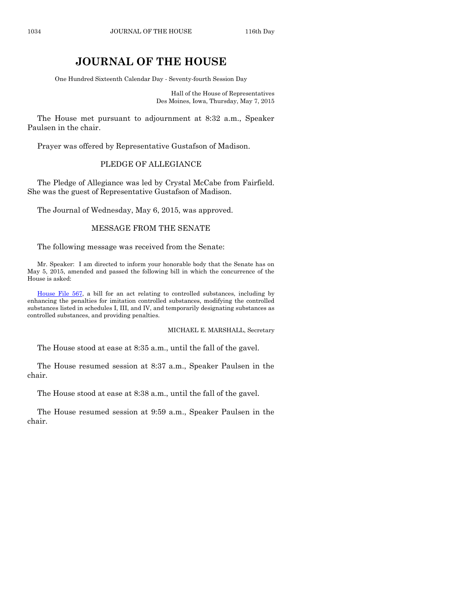### **JOURNAL OF THE HOUSE**

One Hundred Sixteenth Calendar Day - Seventy-fourth Session Day

Hall of the House of Representatives Des Moines, Iowa, Thursday, May 7, 2015

The House met pursuant to adjournment at 8:32 a.m., Speaker Paulsen in the chair.

Prayer was offered by Representative Gustafson of Madison.

#### PLEDGE OF ALLEGIANCE

The Pledge of Allegiance was led by Crystal McCabe from Fairfield. She was the guest of Representative Gustafson of Madison.

The Journal of Wednesday, May 6, 2015, was approved.

#### MESSAGE FROM THE SENATE

The following message was received from the Senate:

Mr. Speaker: I am directed to inform your honorable body that the Senate has on May 5, 2015, amended and passed the following bill in which the concurrence of the House is asked:

[House File 567,](http://coolice.legis.iowa.gov/Cool-ICE/default.asp?Category=billinfo&Service=Billbook&frame=1&GA=86&hbill=HF567) a bill for an act relating to controlled substances, including by enhancing the penalties for imitation controlled substances, modifying the controlled substances listed in schedules I, III, and IV, and temporarily designating substances as controlled substances, and providing penalties.

MICHAEL E. MARSHALL, Secretary

The House stood at ease at 8:35 a.m., until the fall of the gavel.

The House resumed session at 8:37 a.m., Speaker Paulsen in the chair.

The House stood at ease at 8:38 a.m., until the fall of the gavel.

The House resumed session at 9:59 a.m., Speaker Paulsen in the chair.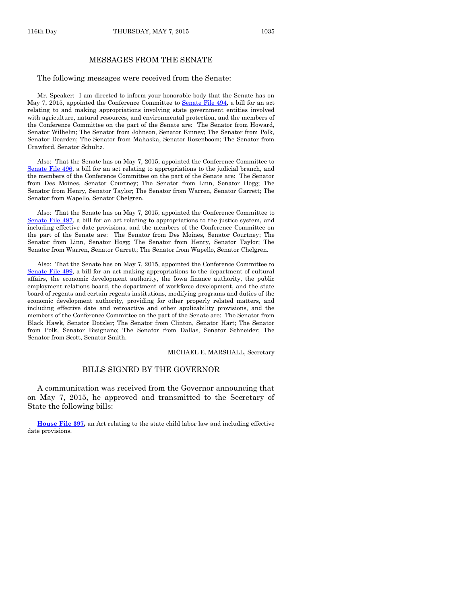#### MESSAGES FROM THE SENATE

#### The following messages were received from the Senate:

Mr. Speaker: I am directed to inform your honorable body that the Senate has on May 7, 2015, appointed the Conference Committee to [Senate File 494,](http://coolice.legis.iowa.gov/Cool-ICE/default.asp?Category=billinfo&Service=Billbook&frame=1&GA=86&hbill=SF494) a bill for an act relating to and making appropriations involving state government entities involved with agriculture, natural resources, and environmental protection, and the members of the Conference Committee on the part of the Senate are: The Senator from Howard, Senator Wilhelm; The Senator from Johnson, Senator Kinney; The Senator from Polk, Senator Dearden; The Senator from Mahaska, Senator Rozenboom; The Senator from Crawford, Senator Schultz.

Also: That the Senate has on May 7, 2015, appointed the Conference Committee to [Senate File 496,](http://coolice.legis.iowa.gov/Cool-ICE/default.asp?Category=billinfo&Service=Billbook&frame=1&GA=86&hbill=SF496) a bill for an act relating to appropriations to the judicial branch, and the members of the Conference Committee on the part of the Senate are: The Senator from Des Moines, Senator Courtney; The Senator from Linn, Senator Hogg; The Senator from Henry, Senator Taylor; The Senator from Warren, Senator Garrett; The Senator from Wapello, Senator Chelgren.

Also: That the Senate has on May 7, 2015, appointed the Conference Committee to [Senate File 497,](http://coolice.legis.iowa.gov/Cool-ICE/default.asp?Category=billinfo&Service=Billbook&frame=1&GA=86&hbill=SF497) a bill for an act relating to appropriations to the justice system, and including effective date provisions, and the members of the Conference Committee on the part of the Senate are: The Senator from Des Moines, Senator Courtney; The Senator from Linn, Senator Hogg; The Senator from Henry, Senator Taylor; The Senator from Warren, Senator Garrett; The Senator from Wapello, Senator Chelgren.

Also: That the Senate has on May 7, 2015, appointed the Conference Committee to [Senate File 499,](http://coolice.legis.iowa.gov/Cool-ICE/default.asp?Category=billinfo&Service=Billbook&frame=1&GA=86&hbill=SF499) a bill for an act making appropriations to the department of cultural affairs, the economic development authority, the Iowa finance authority, the public employment relations board, the department of workforce development, and the state board of regents and certain regents institutions, modifying programs and duties of the economic development authority, providing for other properly related matters, and including effective date and retroactive and other applicability provisions, and the members of the Conference Committee on the part of the Senate are: The Senator from Black Hawk, Senator Dotzler; The Senator from Clinton, Senator Hart; The Senator from Polk, Senator Bisignano; The Senator from Dallas, Senator Schneider; The Senator from Scott, Senator Smith.

#### MICHAEL E. MARSHALL, Secretary

#### BILLS SIGNED BY THE GOVERNOR

A communication was received from the Governor announcing that on May 7, 2015, he approved and transmitted to the Secretary of State the following bills:

**[House File 397,](http://coolice.legis.iowa.gov/Cool-ICE/default.asp?Category=billinfo&Service=Billbook&frame=1&GA=86&hbill=HF397)** an Act relating to the state child labor law and including effective date provisions.